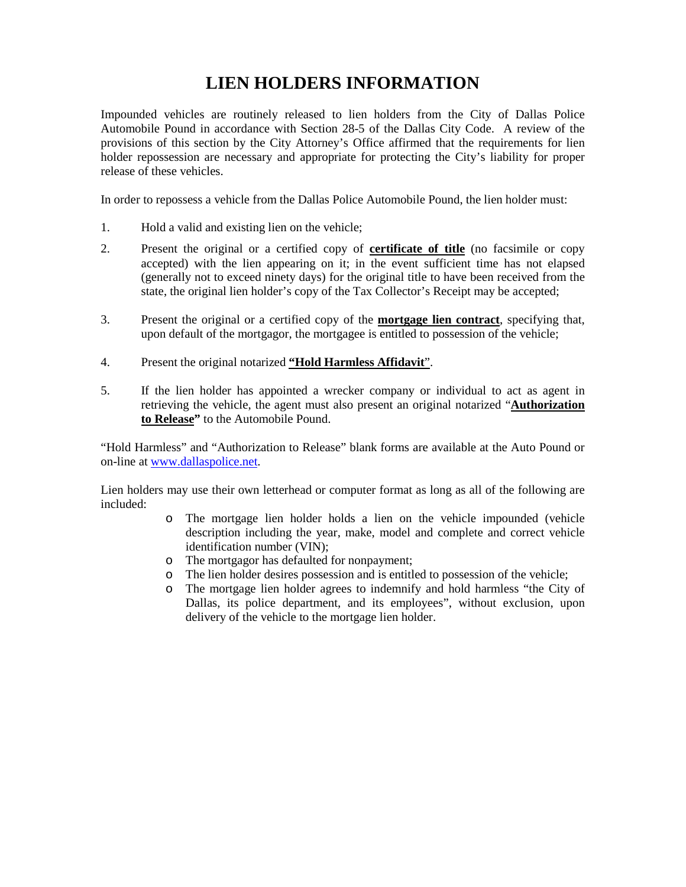## **LIEN HOLDERS INFORMATION**

Impounded vehicles are routinely released to lien holders from the City of Dallas Police Automobile Pound in accordance with Section 28-5 of the Dallas City Code. A review of the provisions of this section by the City Attorney's Office affirmed that the requirements for lien holder repossession are necessary and appropriate for protecting the City's liability for proper release of these vehicles.

In order to repossess a vehicle from the Dallas Police Automobile Pound, the lien holder must:

- 1. Hold a valid and existing lien on the vehicle;
- 2. Present the original or a certified copy of **certificate of title** (no facsimile or copy accepted) with the lien appearing on it; in the event sufficient time has not elapsed (generally not to exceed ninety days) for the original title to have been received from the state, the original lien holder's copy of the Tax Collector's Receipt may be accepted;
- 3. Present the original or a certified copy of the **mortgage lien contract**, specifying that, upon default of the mortgagor, the mortgagee is entitled to possession of the vehicle;
- 4. Present the original notarized **"Hold Harmless Affidavit**".
- 5. If the lien holder has appointed a wrecker company or individual to act as agent in retrieving the vehicle, the agent must also present an original notarized "**Authorization to Release"** to the Automobile Pound.

"Hold Harmless" and "Authorization to Release" blank forms are available at the Auto Pound or on-line at [www.dallaspolice.net.](http://www.dallaspolice.net/)

Lien holders may use their own letterhead or computer format as long as all of the following are included:

- o The mortgage lien holder holds a lien on the vehicle impounded (vehicle description including the year, make, model and complete and correct vehicle identification number (VIN);
- o The mortgagor has defaulted for nonpayment;
- o The lien holder desires possession and is entitled to possession of the vehicle;
- o The mortgage lien holder agrees to indemnify and hold harmless "the City of Dallas, its police department, and its employees", without exclusion, upon delivery of the vehicle to the mortgage lien holder.